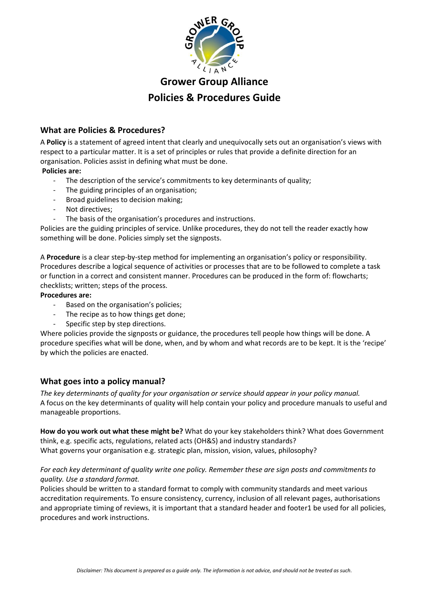

# **Grower Group Alliance Policies & Procedures Guide**

# **What are Policies & Procedures?**

A **Policy** is a statement of agreed intent that clearly and unequivocally sets out an organisation's views with respect to a particular matter. It is a set of principles or rules that provide a definite direction for an organisation. Policies assist in defining what must be done.

# **Policies are:**

- The description of the service's commitments to key determinants of quality;
- The guiding principles of an organisation;
- Broad guidelines to decision making;
- Not directives;
- The basis of the organisation's procedures and instructions.

Policies are the guiding principles of service. Unlike procedures, they do not tell the reader exactly how something will be done. Policies simply set the signposts.

A **Procedure** is a clear step-by-step method for implementing an organisation's policy or responsibility. Procedures describe a logical sequence of activities or processes that are to be followed to complete a task or function in a correct and consistent manner. Procedures can be produced in the form of: flowcharts; checklists; written; steps of the process.

### **Procedures are:**

- Based on the organisation's policies;
- The recipe as to how things get done;
- Specific step by step directions.

Where policies provide the signposts or guidance, the procedures tell people how things will be done. A procedure specifies what will be done, when, and by whom and what records are to be kept. It is the 'recipe' by which the policies are enacted.

# **What goes into a policy manual?**

*The key determinants of quality for your organisation or service should appear in your policy manual.* A focus on the key determinants of quality will help contain your policy and procedure manuals to useful and manageable proportions.

**How do you work out what these might be?** What do your key stakeholders think? What does Government think, e.g. specific acts, regulations, related acts (OH&S) and industry standards? What governs your organisation e.g. strategic plan, mission, vision, values, philosophy?

# *For each key determinant of quality write one policy. Remember these are sign posts and commitments to quality. Use a standard format.*

Policies should be written to a standard format to comply with community standards and meet various accreditation requirements. To ensure consistency, currency, inclusion of all relevant pages, authorisations and appropriate timing of reviews, it is important that a standard header and footer1 be used for all policies, procedures and work instructions.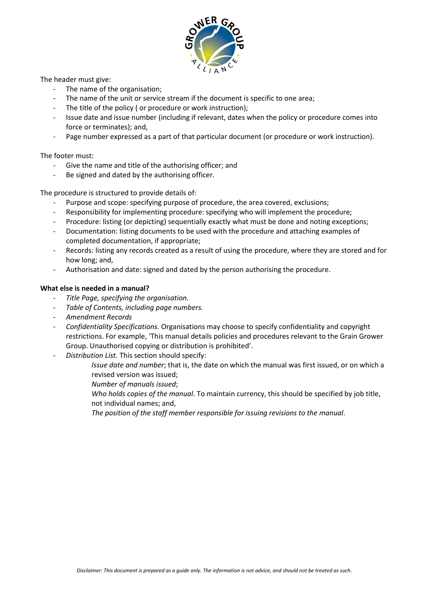

The header must give:

- The name of the organisation;
- The name of the unit or service stream if the document is specific to one area:
- The title of the policy ( or procedure or work instruction):
- Issue date and issue number (including if relevant, dates when the policy or procedure comes into force or terminates); and,
- Page number expressed as a part of that particular document (or procedure or work instruction).

### The footer must:

- Give the name and title of the authorising officer; and
- Be signed and dated by the authorising officer.

The procedure is structured to provide details of:

- Purpose and scope: specifying purpose of procedure, the area covered, exclusions;
- Responsibility for implementing procedure: specifying who will implement the procedure;
- Procedure: listing (or depicting) sequentially exactly what must be done and noting exceptions;
- Documentation: listing documents to be used with the procedure and attaching examples of completed documentation, if appropriate;
- Records: listing any records created as a result of using the procedure, where they are stored and for how long; and,
- Authorisation and date: signed and dated by the person authorising the procedure.

### **What else is needed in a manual?**

- *Title Page, specifying the organisation.*
- *Table of Contents, including page numbers.*
- *Amendment Records*
- *Confidentiality Specifications.* Organisations may choose to specify confidentiality and copyright restrictions. For example, 'This manual details policies and procedures relevant to the Grain Grower Group. Unauthorised copying or distribution is prohibited'.
- Distribution List. This section should specify:
	- *Issue date and number*; that is, the date on which the manual was first issued, or on which a revised version was issued;
	- *Number of manuals issued*;
	- *Who holds copies of the manual*. To maintain currency, this should be specified by job title, not individual names; and,
	- *The position of the staff member responsible for issuing revisions to the manual*.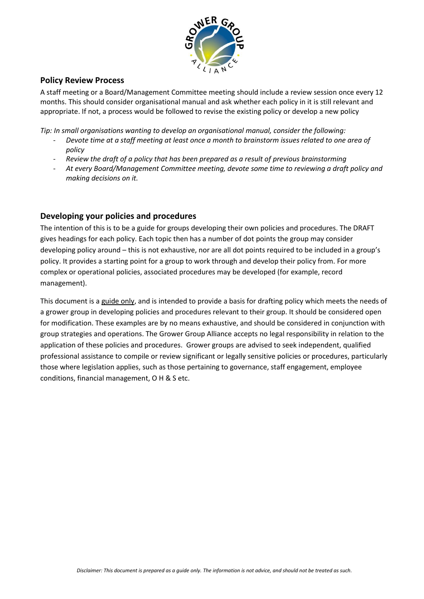

# **Policy Review Process**

A staff meeting or a Board/Management Committee meeting should include a review session once every 12 months. This should consider organisational manual and ask whether each policy in it is still relevant and appropriate. If not, a process would be followed to revise the existing policy or develop a new policy

*Tip: In small organisations wanting to develop an organisational manual, consider the following:*

- *Devote time at a staff meeting at least once a month to brainstorm issues related to one area of policy*
- *Review the draft of a policy that has been prepared as a result of previous brainstorming*
- *At every Board/Management Committee meeting, devote some time to reviewing a draft policy and making decisions on it.*

# **Developing your policies and procedures**

The intention of this is to be a guide for groups developing their own policies and procedures. The DRAFT gives headings for each policy. Each topic then has a number of dot points the group may consider developing policy around – this is not exhaustive, nor are all dot points required to be included in a group's policy. It provides a starting point for a group to work through and develop their policy from. For more complex or operational policies, associated procedures may be developed (for example, record management).

This document is a guide only, and is intended to provide a basis for drafting policy which meets the needs of a grower group in developing policies and procedures relevant to their group. It should be considered open for modification. These examples are by no means exhaustive, and should be considered in conjunction with group strategies and operations. The Grower Group Alliance accepts no legal responsibility in relation to the application of these policies and procedures. Grower groups are advised to seek independent, qualified professional assistance to compile or review significant or legally sensitive policies or procedures, particularly those where legislation applies, such as those pertaining to governance, staff engagement, employee conditions, financial management, O H & S etc.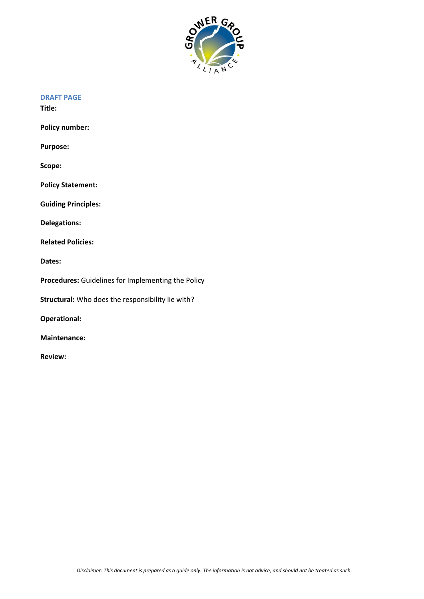

### **DRAFT PAGE**

**Title:**

**Policy number:** 

**Purpose:**

**Scope:**

**Policy Statement:**

**Guiding Principles:**

**Delegations:**

**Related Policies:**

**Dates:**

**Procedures:** Guidelines for Implementing the Policy

**Structural:** Who does the responsibility lie with?

**Operational:**

**Maintenance:**

**Review:**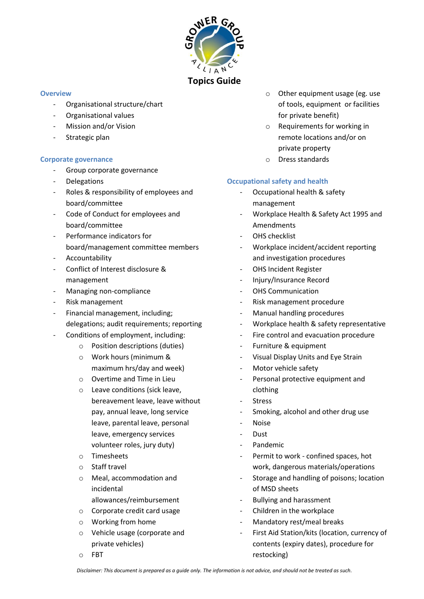

### **Overview**

- Organisational structure/chart
- Organisational values
- Mission and/or Vision
- Strategic plan

# **Corporate governance**

- Group corporate governance
- **Delegations**
- Roles & responsibility of employees and board/committee
- Code of Conduct for employees and board/committee
- Performance indicators for board/management committee members
- Accountability
- Conflict of Interest disclosure & management
- Managing non-compliance
- Risk management
- Financial management, including; delegations; audit requirements; reporting
- Conditions of employment, including:
	- o Position descriptions (duties)
		- o Work hours (minimum & maximum hrs/day and week)
		- o Overtime and Time in Lieu
		- o Leave conditions (sick leave, bereavement leave, leave without pay, annual leave, long service leave, parental leave, personal leave, emergency services volunteer roles, jury duty)
		- o Timesheets
		- o Staff travel
		- o Meal, accommodation and incidental allowances/reimbursement
		- o Corporate credit card usage
		- o Working from home
		- o Vehicle usage (corporate and private vehicles)
		- o FBT
- o Other equipment usage (eg. use of tools, equipment or facilities for private benefit)
- o Requirements for working in remote locations and/or on private property
- o Dress standards

# **Occupational safety and health**

- Occupational health & safety management
- Workplace Health & Safety Act 1995 and Amendments
- OHS checklist
- Workplace incident/accident reporting and investigation procedures
- OHS Incident Register
- Injury/Insurance Record
- OHS Communication
- Risk management procedure
- Manual handling procedures
- Workplace health & safety representative
- Fire control and evacuation procedure
- Furniture & equipment
- Visual Display Units and Eye Strain
- Motor vehicle safety
- Personal protective equipment and clothing
- **Stress**
- Smoking, alcohol and other drug use
- **Noise**
- Dust
- Pandemic
- Permit to work confined spaces, hot work, dangerous materials/operations
- Storage and handling of poisons; location of MSD sheets
- Bullying and harassment
- Children in the workplace
- Mandatory rest/meal breaks
- First Aid Station/kits (location, currency of contents (expiry dates), procedure for restocking)

*Disclaimer: This document is prepared as a guide only. The information is not advice, and should not be treated as such.*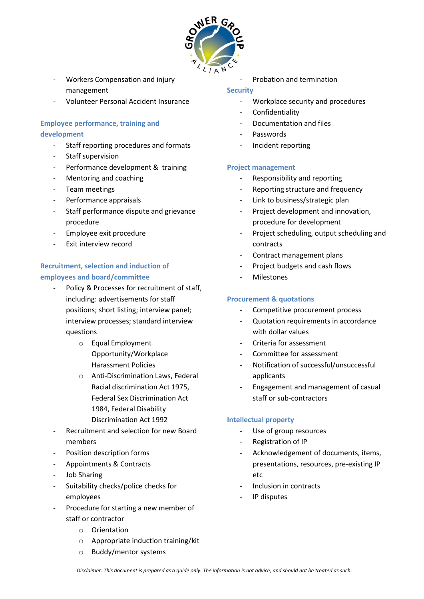

- Workers Compensation and injury management
- Volunteer Personal Accident Insurance

# **Employee performance, training and development**

- Staff reporting procedures and formats
- Staff supervision
- Performance development & training
- Mentoring and coaching
- Team meetings
- Performance appraisals
- Staff performance dispute and grievance procedure
- Employee exit procedure
- Exit interview record

# **Recruitment, selection and induction of employees and board/committee**

- Policy & Processes for recruitment of staff, including: advertisements for staff positions; short listing; interview panel; interview processes; standard interview questions
	- o Equal Employment Opportunity/Workplace Harassment Policies
	- o Anti-Discrimination Laws, Federal Racial discrimination Act 1975, Federal Sex Discrimination Act 1984, Federal Disability Discrimination Act 1992
- Recruitment and selection for new Board members
- Position description forms
- Appointments & Contracts
- Job Sharing
- Suitability checks/police checks for employees
- Procedure for starting a new member of staff or contractor
	- o Orientation
	- o Appropriate induction training/kit
	- o Buddy/mentor systems

- Probation and termination

### **Security**

- Workplace security and procedures
- **Confidentiality**
- Documentation and files
- **Passwords**
- Incident reporting

### **Project management**

- Responsibility and reporting
- Reporting structure and frequency
- Link to business/strategic plan
- Project development and innovation, procedure for development
- Project scheduling, output scheduling and contracts
- Contract management plans
- Project budgets and cash flows
- **Milestones**

### **Procurement & quotations**

- Competitive procurement process
- Quotation requirements in accordance with dollar values
- Criteria for assessment
- Committee for assessment
- Notification of successful/unsuccessful applicants
- Engagement and management of casual staff or sub-contractors

# **Intellectual property**

- Use of group resources
- Registration of IP
- Acknowledgement of documents, items, presentations, resources, pre-existing IP etc
- Inclusion in contracts
- IP disputes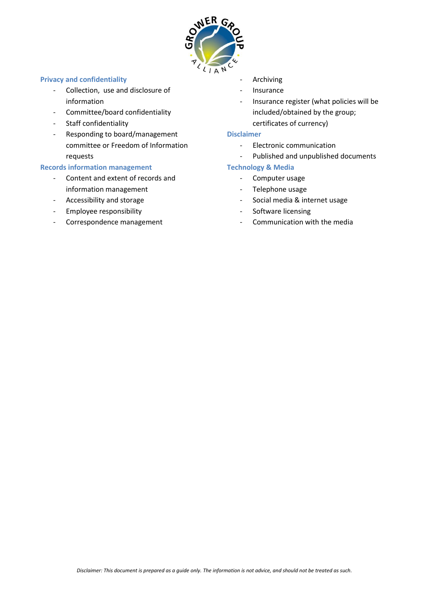

### **Privacy and confidentiality**

- Collection, use and disclosure of information
- Committee/board confidentiality
- Staff confidentiality
- Responding to board/management committee or Freedom of Information requests

### **Records information management**

- Content and extent of records and information management
- Accessibility and storage
- Employee responsibility
- Correspondence management
- **Archiving**
- Insurance
- Insurance register (what policies will be included/obtained by the group; certificates of currency)

### **Disclaimer**

- Electronic communication
- Published and unpublished documents

# **Technology & Media**

- Computer usage
- Telephone usage
- Social media & internet usage
- Software licensing
- Communication with the media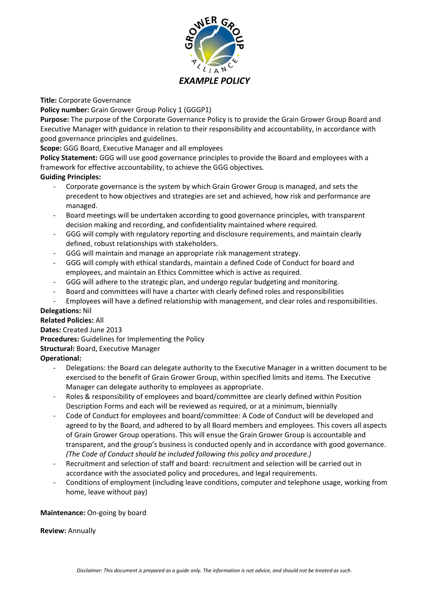

**Title:** Corporate Governance

**Policy number:** Grain Grower Group Policy 1 (GGGP1)

**Purpose:** The purpose of the Corporate Governance Policy is to provide the Grain Grower Group Board and Executive Manager with guidance in relation to their responsibility and accountability, in accordance with good governance principles and guidelines.

### **Scope:** GGG Board, Executive Manager and all employees

**Policy Statement:** GGG will use good governance principles to provide the Board and employees with a framework for effective accountability, to achieve the GGG objectives.

### **Guiding Principles:**

- Corporate governance is the system by which Grain Grower Group is managed, and sets the precedent to how objectives and strategies are set and achieved, how risk and performance are managed.
- Board meetings will be undertaken according to good governance principles, with transparent decision making and recording, and confidentiality maintained where required.
- GGG will comply with regulatory reporting and disclosure requirements, and maintain clearly defined, robust relationships with stakeholders.
- GGG will maintain and manage an appropriate risk management strategy.
- GGG will comply with ethical standards, maintain a defined Code of Conduct for board and employees, and maintain an Ethics Committee which is active as required.
- GGG will adhere to the strategic plan, and undergo regular budgeting and monitoring.
- Board and committees will have a charter with clearly defined roles and responsibilities
- Employees will have a defined relationship with management, and clear roles and responsibilities.

# **Delegations:** Nil

### **Related Policies:** All

**Dates:** Created June 2013

**Procedures:** Guidelines for Implementing the Policy

**Structural:** Board, Executive Manager

# **Operational:**

- Delegations: the Board can delegate authority to the Executive Manager in a written document to be exercised to the benefit of Grain Grower Group, within specified limits and items. The Executive Manager can delegate authority to employees as appropriate.
- Roles & responsibility of employees and board/committee are clearly defined within Position Description Forms and each will be reviewed as required, or at a minimum, biennially
- Code of Conduct for employees and board/committee: A Code of Conduct will be developed and agreed to by the Board, and adhered to by all Board members and employees. This covers all aspects of Grain Grower Group operations. This will ensue the Grain Grower Group is accountable and transparent, and the group's business is conducted openly and in accordance with good governance. *(The Code of Conduct should be included following this policy and procedure.)*
- Recruitment and selection of staff and board: recruitment and selection will be carried out in accordance with the associated policy and procedures, and legal requirements.
- Conditions of employment (including leave conditions, computer and telephone usage, working from home, leave without pay)

### **Maintenance:** On-going by board

**Review:** Annually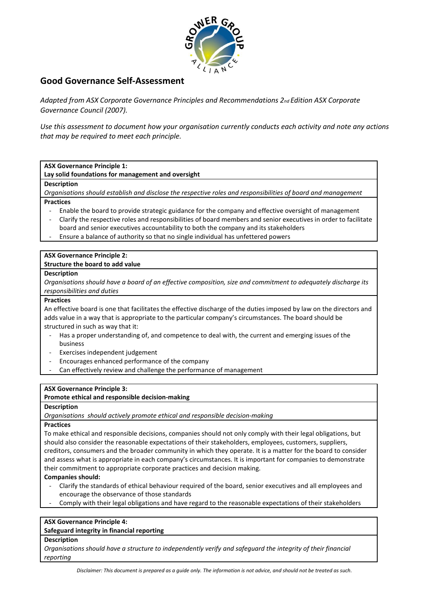

# **Good Governance Self‐Assessment**

*Adapted from ASX Corporate Governance Principles and Recommendations 2nd Edition ASX Corporate Governance Council (2007).*

*Use this assessment to document how your organisation currently conducts each activity and note any actions that may be required to meet each principle.*

**ASX Governance Principle 1:** 

**Lay solid foundations for management and oversight**

**Description** 

*Organisations should establish and disclose the respective roles and responsibilities of board and management* **Practices** 

- Enable the board to provide strategic guidance for the company and effective oversight of management
- Clarify the respective roles and responsibilities of board members and senior executives in order to facilitate board and senior executives accountability to both the company and its stakeholders
- Ensure a balance of authority so that no single individual has unfettered powers

# **ASX Governance Principle 2:**

# **Structure the board to add value**

### **Description**

*Organisations should have a board of an effective composition, size and commitment to adequately discharge its responsibilities and duties* 

### **Practices**

An effective board is one that facilitates the effective discharge of the duties imposed by law on the directors and adds value in a way that is appropriate to the particular company's circumstances. The board should be structured in such as way that it:

- Has a proper understanding of, and competence to deal with, the current and emerging issues of the business
- Exercises independent judgement
- Encourages enhanced performance of the company
- Can effectively review and challenge the performance of management

### **ASX Governance Principle 3:**

### **Promote ethical and responsible decision‐making**

### **Description**

*Organisations should actively promote ethical and responsible decision‐making*

### **Practices**

To make ethical and responsible decisions, companies should not only comply with their legal obligations, but should also consider the reasonable expectations of their stakeholders, employees, customers, suppliers, creditors, consumers and the broader community in which they operate. It is a matter for the board to consider and assess what is appropriate in each company's circumstances. It is important for companies to demonstrate their commitment to appropriate corporate practices and decision making.

### **Companies should:**

- Clarify the standards of ethical behaviour required of the board, senior executives and all employees and encourage the observance of those standards
- Comply with their legal obligations and have regard to the reasonable expectations of their stakeholders

### **ASX Governance Principle 4:**

### **Safeguard integrity in financial reporting**

### **Description**

*Organisations should have a structure to independently verify and safeguard the integrity of their financial reporting*